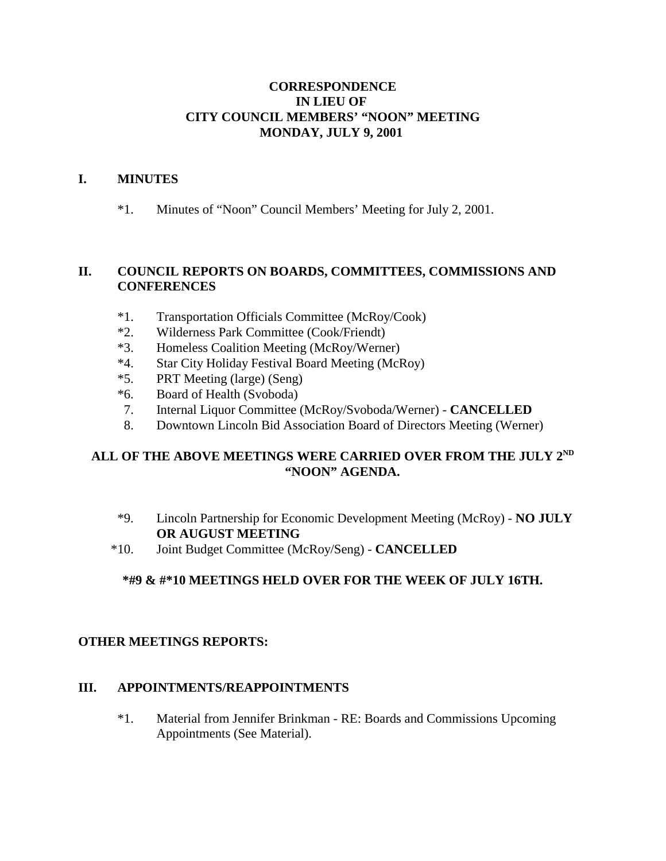### **CORRESPONDENCE IN LIEU OF CITY COUNCIL MEMBERS' "NOON" MEETING MONDAY, JULY 9, 2001**

### **I. MINUTES**

\*1. Minutes of "Noon" Council Members' Meeting for July 2, 2001.

# **II. COUNCIL REPORTS ON BOARDS, COMMITTEES, COMMISSIONS AND CONFERENCES**

- \*1. Transportation Officials Committee (McRoy/Cook)
- \*2. Wilderness Park Committee (Cook/Friendt)
- \*3. Homeless Coalition Meeting (McRoy/Werner)
- \*4. Star City Holiday Festival Board Meeting (McRoy)
- \*5. PRT Meeting (large) (Seng)
- \*6. Board of Health (Svoboda)
- 7. Internal Liquor Committee (McRoy/Svoboda/Werner) **CANCELLED**
- 8. Downtown Lincoln Bid Association Board of Directors Meeting (Werner)

# **ALL OF THE ABOVE MEETINGS WERE CARRIED OVER FROM THE JULY 2ND "NOON" AGENDA.**

- \*9. Lincoln Partnership for Economic Development Meeting (McRoy) **NO JULY OR AUGUST MEETING**
- \*10. Joint Budget Committee (McRoy/Seng) **CANCELLED**

# **\*#9 & #\*10 MEETINGS HELD OVER FOR THE WEEK OF JULY 16TH.**

#### **OTHER MEETINGS REPORTS:**

#### **III. APPOINTMENTS/REAPPOINTMENTS**

\*1. Material from Jennifer Brinkman - RE: Boards and Commissions Upcoming Appointments (See Material).